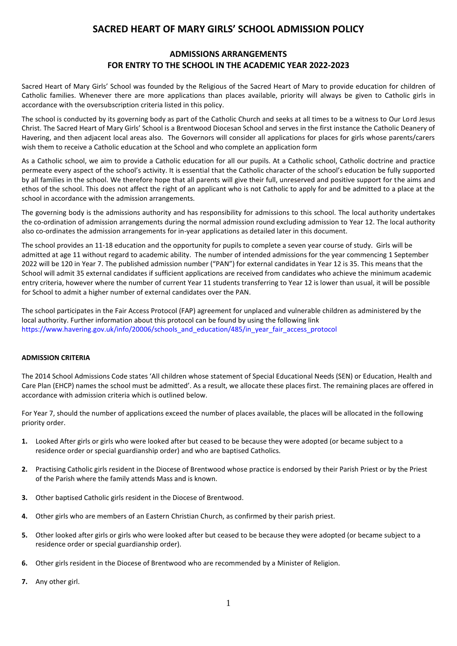# **SACRED HEART OF MARY GIRLS' SCHOOL ADMISSION POLICY**

## **ADMISSIONS ARRANGEMENTS FOR ENTRY TO THE SCHOOL IN THE ACADEMIC YEAR 2022-2023**

Sacred Heart of Mary Girls' School was founded by the Religious of the Sacred Heart of Mary to provide education for children of Catholic families. Whenever there are more applications than places available, priority will always be given to Catholic girls in accordance with the oversubscription criteria listed in this policy.

The school is conducted by its governing body as part of the Catholic Church and seeks at all times to be a witness to Our Lord Jesus Christ. The Sacred Heart of Mary Girls' School is a Brentwood Diocesan School and serves in the first instance the Catholic Deanery of Havering, and then adjacent local areas also. The Governors will consider all applications for places for girls whose parents/carers wish them to receive a Catholic education at the School and who complete an application form

As a Catholic school, we aim to provide a Catholic education for all our pupils. At a Catholic school, Catholic doctrine and practice permeate every aspect of the school's activity. It is essential that the Catholic character of the school's education be fully supported by all families in the school. We therefore hope that all parents will give their full, unreserved and positive support for the aims and ethos of the school. This does not affect the right of an applicant who is not Catholic to apply for and be admitted to a place at the school in accordance with the admission arrangements.

The governing body is the admissions authority and has responsibility for admissions to this school. The local authority undertakes the co-ordination of admission arrangements during the normal admission round excluding admission to Year 12. The local authority also co-ordinates the admission arrangements for in-year applications as detailed later in this document.

The school provides an 11-18 education and the opportunity for pupils to complete a seven year course of study. Girls will be admitted at age 11 without regard to academic ability. The number of intended admissions for the year commencing 1 September 2022 will be 120 in Year 7. The published admission number ("PAN") for external candidates in Year 12 is 35. This means that the School will admit 35 external candidates if sufficient applications are received from candidates who achieve the minimum academic entry criteria, however where the number of current Year 11 students transferring to Year 12 is lower than usual, it will be possible for School to admit a higher number of external candidates over the PAN.

The school participates in the Fair Access Protocol (FAP) agreement for unplaced and vulnerable children as administered by the local authority. Further information about this protocol can be found by using the following link [https://www.havering.gov.uk/info/20006/schools\\_and\\_education/485/in\\_year\\_fair\\_access\\_protocol](https://www.havering.gov.uk/info/20006/schools_and_education/485/in_year_fair_access_protocol)

## **ADMISSION CRITERIA**

The 2014 School Admissions Code states 'All children whose statement of Special Educational Needs (SEN) or Education, Health and Care Plan (EHCP) names the school must be admitted'. As a result, we allocate these places first. The remaining places are offered in accordance with admission criteria which is outlined below.

For Year 7, should the number of applications exceed the number of places available, the places will be allocated in the following priority order.

- **1.** Looked After girls or girls who were looked after but ceased to be because they were adopted (or became subject to a residence order or special guardianship order) and who are baptised Catholics.
- **2.** Practising Catholic girls resident in the Diocese of Brentwood whose practice is endorsed by their Parish Priest or by the Priest of the Parish where the family attends Mass and is known.
- **3.** Other baptised Catholic girls resident in the Diocese of Brentwood.
- **4.** Other girls who are members of an Eastern Christian Church, as confirmed by their parish priest.
- **5.** Other looked after girls or girls who were looked after but ceased to be because they were adopted (or became subject to a residence order or special guardianship order).
- **6.** Other girls resident in the Diocese of Brentwood who are recommended by a Minister of Religion.
- **7.** Any other girl.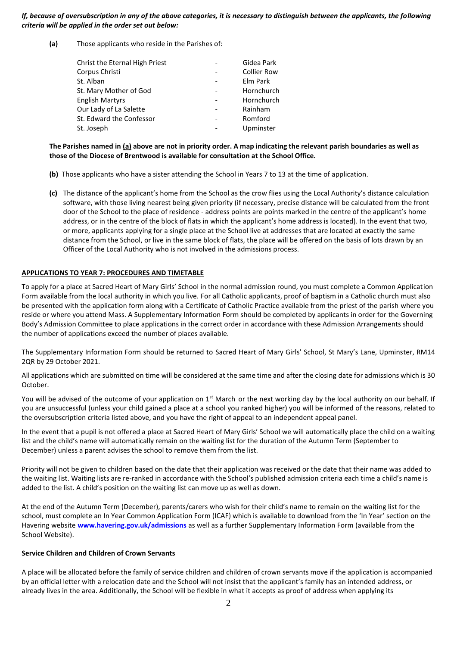#### *If, because of oversubscription in any of the above categories, it is necessary to distinguish between the applicants, the following criteria will be applied in the order set out below:*

**(a)** Those applicants who reside in the Parishes of:

| Christ the Eternal High Priest | Gidea Park         |
|--------------------------------|--------------------|
| Corpus Christi                 | <b>Collier Row</b> |
| St. Alban                      | Elm Park           |
| St. Mary Mother of God         | Hornchurch         |
| <b>English Martyrs</b>         | Hornchurch         |
| Our Lady of La Salette         | Rainham            |
| St. Edward the Confessor       | Romford            |
| St. Joseph                     | Upminster          |

#### **The Parishes named in (a) above are not in priority order. A map indicating the relevant parish boundaries as well as those of the Diocese of Brentwood is available for consultation at the School Office.**

- **(b)** Those applicants who have a sister attending the School in Years 7 to 13 at the time of application.
- **(c)** The distance of the applicant's home from the School as the crow flies using the Local Authority's distance calculation software, with those living nearest being given priority (if necessary, precise distance will be calculated from the front door of the School to the place of residence - address points are points marked in the centre of the applicant's home address, or in the centre of the block of flats in which the applicant's home address is located). In the event that two, or more, applicants applying for a single place at the School live at addresses that are located at exactly the same distance from the School, or live in the same block of flats, the place will be offered on the basis of lots drawn by an Officer of the Local Authority who is not involved in the admissions process.

## **APPLICATIONS TO YEAR 7: PROCEDURES AND TIMETABLE**

To apply for a place at Sacred Heart of Mary Girls' School in the normal admission round, you must complete a Common Application Form available from the local authority in which you live. For all Catholic applicants, proof of baptism in a Catholic church must also be presented with the application form along with a Certificate of Catholic Practice available from the priest of the parish where you reside or where you attend Mass. A Supplementary Information Form should be completed by applicants in order for the Governing Body's Admission Committee to place applications in the correct order in accordance with these Admission Arrangements should the number of applications exceed the number of places available.

The Supplementary Information Form should be returned to Sacred Heart of Mary Girls' School, St Mary's Lane, Upminster, RM14 2QR by 29 October 2021.

All applications which are submitted on time will be considered at the same time and after the closing date for admissions which is 30 October.

You will be advised of the outcome of your application on  $1<sup>st</sup>$  March or the next working day by the local authority on our behalf. If you are unsuccessful (unless your child gained a place at a school you ranked higher) you will be informed of the reasons, related to the oversubscription criteria listed above, and you have the right of appeal to an independent appeal panel.

In the event that a pupil is not offered a place at Sacred Heart of Mary Girls' School we will automatically place the child on a waiting list and the child's name will automatically remain on the waiting list for the duration of the Autumn Term (September to December) unless a parent advises the school to remove them from the list.

Priority will not be given to children based on the date that their application was received or the date that their name was added to the waiting list. Waiting lists are re-ranked in accordance with the School's published admission criteria each time a child's name is added to the list. A child's position on the waiting list can move up as well as down.

At the end of the Autumn Term (December), parents/carers who wish for their child's name to remain on the waiting list for the school, must complete an In Year Common Application Form (ICAF) which is available to download from the 'In Year' section on the Havering website **[www.havering.gov.uk/admissions](http://www.havering.gov.uk/admissions)** as well as a further Supplementary Information Form (available from the School Website).

#### **Service Children and Children of Crown Servants**

A place will be allocated before the family of service children and children of crown servants move if the application is accompanied by an official letter with a relocation date and the School will not insist that the applicant's family has an intended address, or already lives in the area. Additionally, the School will be flexible in what it accepts as proof of address when applying its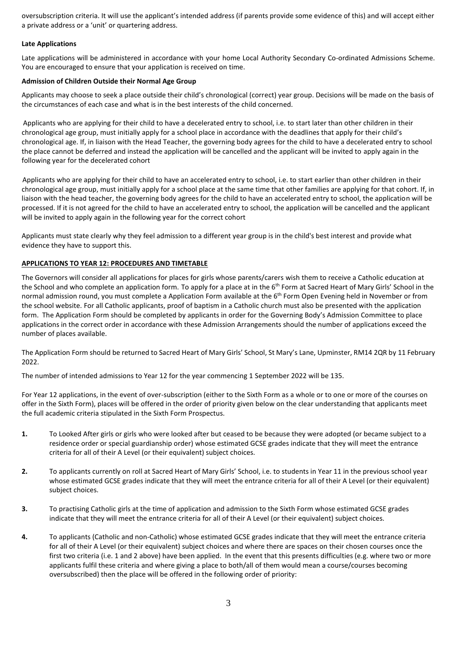oversubscription criteria. It will use the applicant's intended address (if parents provide some evidence of this) and will accept either a private address or a 'unit' or quartering address.

#### **Late Applications**

Late applications will be administered in accordance with your home Local Authority Secondary Co-ordinated Admissions Scheme. You are encouraged to ensure that your application is received on time.

#### **Admission of Children Outside their Normal Age Group**

Applicants may choose to seek a place outside their child's chronological (correct) year group. Decisions will be made on the basis of the circumstances of each case and what is in the best interests of the child concerned.

 Applicants who are applying for their child to have a decelerated entry to school, i.e. to start later than other children in their chronological age group, must initially apply for a school place in accordance with the deadlines that apply for their child's chronological age. If, in liaison with the Head Teacher, the governing body agrees for the child to have a decelerated entry to school the place cannot be deferred and instead the application will be cancelled and the applicant will be invited to apply again in the following year for the decelerated cohort

Applicants who are applying for their child to have an accelerated entry to school, i.e. to start earlier than other children in their chronological age group, must initially apply for a school place at the same time that other families are applying for that cohort. If, in liaison with the head teacher, the governing body agrees for the child to have an accelerated entry to school, the application will be processed. If it is not agreed for the child to have an accelerated entry to school, the application will be cancelled and the applicant will be invited to apply again in the following year for the correct cohort

Applicants must state clearly why they feel admission to a different year group is in the child's best interest and provide what evidence they have to support this.

## **APPLICATIONS TO YEAR 12: PROCEDURES AND TIMETABLE**

The Governors will consider all applications for places for girls whose parents/carers wish them to receive a Catholic education at the School and who complete an application form. To apply for a place at in the 6<sup>th</sup> Form at Sacred Heart of Mary Girls' School in the normal admission round, you must complete a Application Form available at the 6<sup>th</sup> Form Open Evening held in November or from the school website. For all Catholic applicants, proof of baptism in a Catholic church must also be presented with the application form. The Application Form should be completed by applicants in order for the Governing Body's Admission Committee to place applications in the correct order in accordance with these Admission Arrangements should the number of applications exceed the number of places available.

The Application Form should be returned to Sacred Heart of Mary Girls' School, St Mary's Lane, Upminster, RM14 2QR by 11 February 2022.

The number of intended admissions to Year 12 for the year commencing 1 September 2022 will be 135.

For Year 12 applications, in the event of over-subscription (either to the Sixth Form as a whole or to one or more of the courses on offer in the Sixth Form), places will be offered in the order of priority given below on the clear understanding that applicants meet the full academic criteria stipulated in the Sixth Form Prospectus.

- **1.** To Looked After girls or girls who were looked after but ceased to be because they were adopted (or became subject to a residence order or special guardianship order) whose estimated GCSE grades indicate that they will meet the entrance criteria for all of their A Level (or their equivalent) subject choices.
- **2.** To applicants currently on roll at Sacred Heart of Mary Girls' School, i.e. to students in Year 11 in the previous school year whose estimated GCSE grades indicate that they will meet the entrance criteria for all of their A Level (or their equivalent) subject choices.
- **3.** To practising Catholic girls at the time of application and admission to the Sixth Form whose estimated GCSE grades indicate that they will meet the entrance criteria for all of their A Level (or their equivalent) subject choices.
- **4.** To applicants (Catholic and non-Catholic) whose estimated GCSE grades indicate that they will meet the entrance criteria for all of their A Level (or their equivalent) subject choices and where there are spaces on their chosen courses once the first two criteria (i.e. 1 and 2 above) have been applied. In the event that this presents difficulties (e.g. where two or more applicants fulfil these criteria and where giving a place to both/all of them would mean a course/courses becoming oversubscribed) then the place will be offered in the following order of priority: